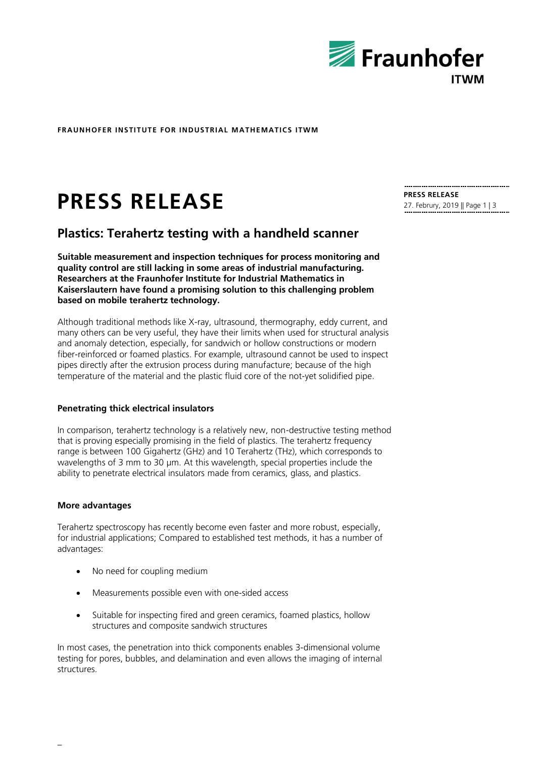

**FRAUNHOFER INSTITUTE FOR INDUSTRIAL MATHEMATICS ITWM**

# **PRESS RELEASE PRESS RELEASE PRESS RELEASE**

# **Plastics: Terahertz testing with a handheld scanner**

**Suitable measurement and inspection techniques for process monitoring and quality control are still lacking in some areas of industrial manufacturing. Researchers at the Fraunhofer Institute for Industrial Mathematics in Kaiserslautern have found a promising solution to this challenging problem based on mobile terahertz technology.**

Although traditional methods like X-ray, ultrasound, thermography, eddy current, and many others can be very useful, they have their limits when used for structural analysis and anomaly detection, especially, for sandwich or hollow constructions or modern fiber-reinforced or foamed plastics. For example, ultrasound cannot be used to inspect pipes directly after the extrusion process during manufacture; because of the high temperature of the material and the plastic fluid core of the not-yet solidified pipe.

# **Penetrating thick electrical insulators**

In comparison, terahertz technology is a relatively new, non-destructive testing method that is proving especially promising in the field of plastics. The terahertz frequency range is between 100 Gigahertz (GHz) and 10 Terahertz (THz), which corresponds to wavelengths of 3 mm to 30 µm. At this wavelength, special properties include the ability to penetrate electrical insulators made from ceramics, glass, and plastics.

# **More advantages**

Terahertz spectroscopy has recently become even faster and more robust, especially, for industrial applications; Compared to established test methods, it has a number of advantages:

- No need for coupling medium
- Measurements possible even with one-sided access
- Suitable for inspecting fired and green ceramics, foamed plastics, hollow structures and composite sandwich structures

In most cases, the penetration into thick components enables 3-dimensional volume testing for pores, bubbles, and delamination and even allows the imaging of internal structures.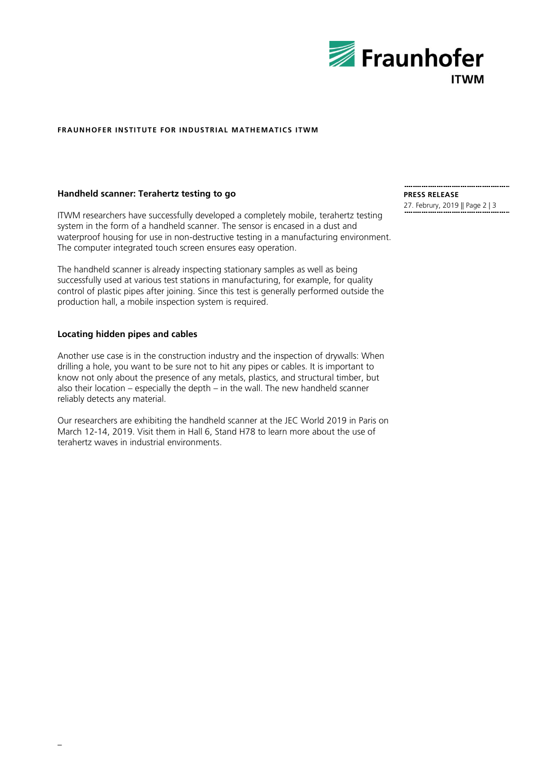

#### **FRAUNHOFER INSTITUTE FOR INDUSTRIAL MATHEMATICS ITWM**

# **Handheld scanner: Terahertz testing to go**

ITWM researchers have successfully developed a completely mobile, terahertz testing system in the form of a handheld scanner. The sensor is encased in a dust and waterproof housing for use in non-destructive testing in a manufacturing environment. The computer integrated touch screen ensures easy operation.

The handheld scanner is already inspecting stationary samples as well as being successfully used at various test stations in manufacturing, for example, for quality control of plastic pipes after joining. Since this test is generally performed outside the production hall, a mobile inspection system is required.

# **Locating hidden pipes and cables**

Another use case is in the construction industry and the inspection of drywalls: When drilling a hole, you want to be sure not to hit any pipes or cables. It is important to know not only about the presence of any metals, plastics, and structural timber, but also their location – especially the depth – in the wall. The new handheld scanner reliably detects any material.

Our researchers are exhibiting the handheld scanner at the JEC World 2019 in Paris on March 12-14, 2019. Visit them in Hall 6, Stand H78 to learn more about the use of terahertz waves in industrial environments.

**PRESS RELEASE**

27. Februry, 2019 || Page 2 | 3